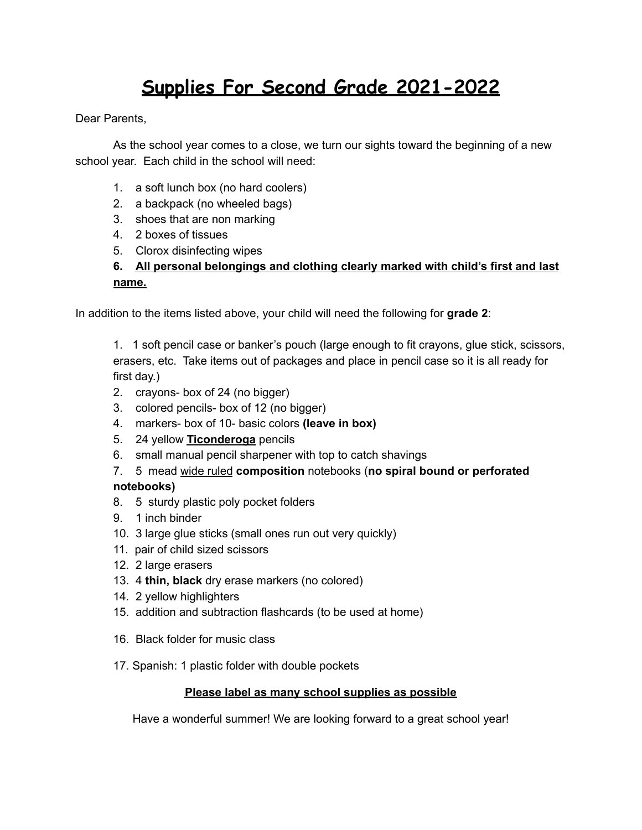# **Supplies For Second Grade 2021-2022**

Dear Parents.

As the school year comes to a close, we turn our sights toward the beginning of a new school year. Each child in the school will need:

- 1. a soft lunch box (no hard coolers)
- 2. a backpack (no wheeled bags)
- 3. shoes that are non marking
- 4. 2 boxes of tissues
- 5. Clorox disinfecting wipes

## **6. All personal belongings and clothing clearly marked with child's first and last name.**

In addition to the items listed above, your child will need the following for **grade 2**:

1. 1 soft pencil case or banker's pouch (large enough to fit crayons, glue stick, scissors, erasers, etc. Take items out of packages and place in pencil case so it is all ready for first day.)

- 2. crayons- box of 24 (no bigger)
- 3. colored pencils- box of 12 (no bigger)
- 4. markers- box of 10- basic colors **(leave in box)**
- 5. 24 yellow **Ticonderoga** pencils
- 6. small manual pencil sharpener with top to catch shavings
- 7. 5 mead wide ruled **composition** notebooks (**no spiral bound or perforated**

## **notebooks)**

- 8. 5 sturdy plastic poly pocket folders
- 9. 1 inch binder
- 10. 3 large glue sticks (small ones run out very quickly)
- 11. pair of child sized scissors
- 12. 2 large erasers
- 13. 4 **thin, black** dry erase markers (no colored)
- 14. 2 yellow highlighters
- 15. addition and subtraction flashcards (to be used at home)
- 16. Black folder for music class
- 17. Spanish: 1 plastic folder with double pockets

## **Please label as many school supplies as possible**

Have a wonderful summer! We are looking forward to a great school year!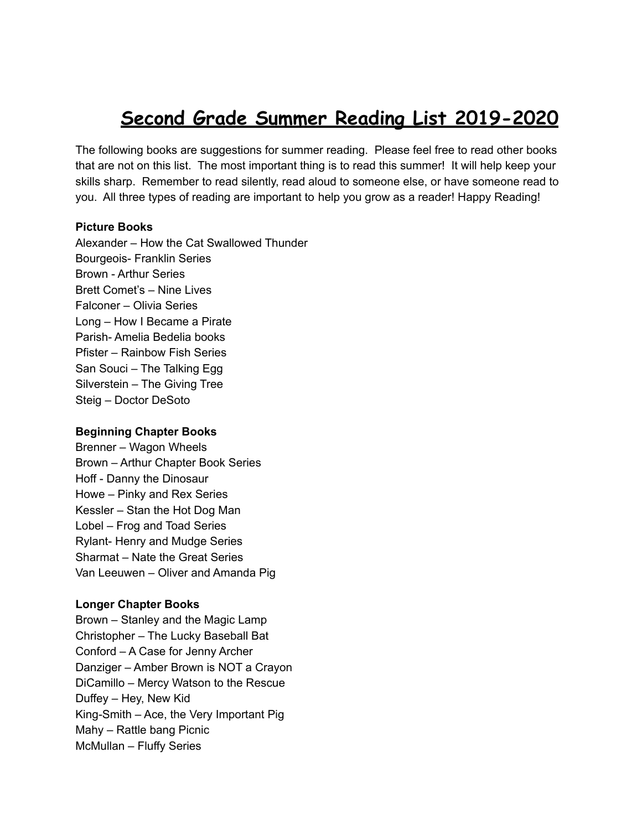## **Second Grade Summer Reading List 2019-2020**

The following books are suggestions for summer reading. Please feel free to read other books that are not on this list. The most important thing is to read this summer! It will help keep your skills sharp. Remember to read silently, read aloud to someone else, or have someone read to you. All three types of reading are important to help you grow as a reader! Happy Reading!

#### **Picture Books**

Alexander – How the Cat Swallowed Thunder Bourgeois- Franklin Series Brown - Arthur Series Brett Comet's – Nine Lives Falconer – Olivia Series Long – How I Became a Pirate Parish- Amelia Bedelia books Pfister – Rainbow Fish Series San Souci – The Talking Egg Silverstein – The Giving Tree Steig – Doctor DeSoto

### **Beginning Chapter Books**

Brenner – Wagon Wheels Brown – Arthur Chapter Book Series Hoff - Danny the Dinosaur Howe – Pinky and Rex Series Kessler – Stan the Hot Dog Man Lobel – Frog and Toad Series Rylant- Henry and Mudge Series Sharmat – Nate the Great Series Van Leeuwen – Oliver and Amanda Pig

### **Longer Chapter Books**

Brown – Stanley and the Magic Lamp Christopher – The Lucky Baseball Bat Conford – A Case for Jenny Archer Danziger – Amber Brown is NOT a Crayon DiCamillo – Mercy Watson to the Rescue Duffey – Hey, New Kid King-Smith – Ace, the Very Important Pig Mahy – Rattle bang Picnic McMullan – Fluffy Series